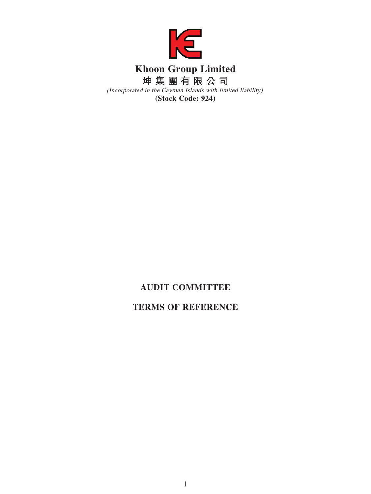

# **AUDIT COMMITTEE**

# **TERMS OF REFERENCE**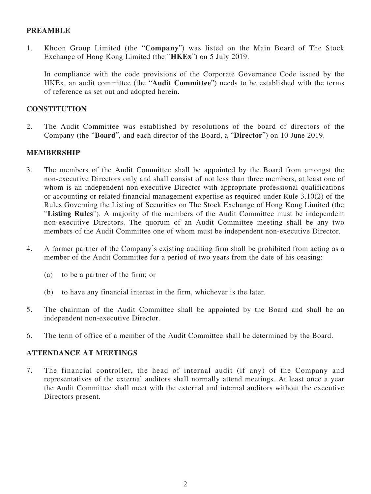## **PREAMBLE**

1. Khoon Group Limited (the "**Company**") was listed on the Main Board of The Stock Exchange of Hong Kong Limited (the "**HKEx**") on 5 July 2019.

In compliance with the code provisions of the Corporate Governance Code issued by the HKEx, an audit committee (the "**Audit Committee**") needs to be established with the terms of reference as set out and adopted herein.

### **CONSTITUTION**

2. The Audit Committee was established by resolutions of the board of directors of the Company (the "**Board**", and each director of the Board, a "**Director**") on 10 June 2019.

### **MEMBERSHIP**

- 3. The members of the Audit Committee shall be appointed by the Board from amongst the non-executive Directors only and shall consist of not less than three members, at least one of whom is an independent non-executive Director with appropriate professional qualifications or accounting or related financial management expertise as required under Rule 3.10(2) of the Rules Governing the Listing of Securities on The Stock Exchange of Hong Kong Limited (the "**Listing Rules**"). A majority of the members of the Audit Committee must be independent non-executive Directors. The quorum of an Audit Committee meeting shall be any two members of the Audit Committee one of whom must be independent non-executive Director.
- 4. A former partner of the Company's existing auditing firm shall be prohibited from acting as a member of the Audit Committee for a period of two years from the date of his ceasing:
	- (a) to be a partner of the firm; or
	- (b) to have any financial interest in the firm, whichever is the later.
- 5. The chairman of the Audit Committee shall be appointed by the Board and shall be an independent non-executive Director.
- 6. The term of office of a member of the Audit Committee shall be determined by the Board.

#### **ATTENDANCE AT MEETINGS**

7. The financial controller, the head of internal audit (if any) of the Company and representatives of the external auditors shall normally attend meetings. At least once a year the Audit Committee shall meet with the external and internal auditors without the executive Directors present.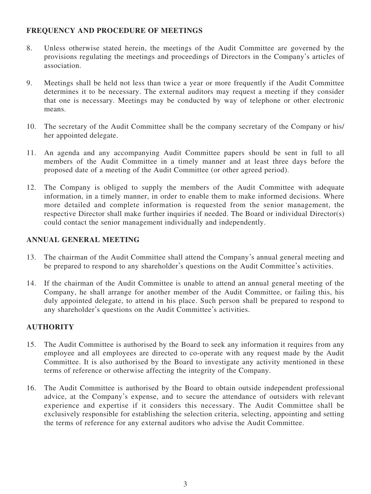# **FREQUENCY AND PROCEDURE OF MEETINGS**

- 8. Unless otherwise stated herein, the meetings of the Audit Committee are governed by the provisions regulating the meetings and proceedings of Directors in the Company's articles of association.
- 9. Meetings shall be held not less than twice a year or more frequently if the Audit Committee determines it to be necessary. The external auditors may request a meeting if they consider that one is necessary. Meetings may be conducted by way of telephone or other electronic means.
- 10. The secretary of the Audit Committee shall be the company secretary of the Company or his/ her appointed delegate.
- 11. An agenda and any accompanying Audit Committee papers should be sent in full to all members of the Audit Committee in a timely manner and at least three days before the proposed date of a meeting of the Audit Committee (or other agreed period).
- 12. The Company is obliged to supply the members of the Audit Committee with adequate information, in a timely manner, in order to enable them to make informed decisions. Where more detailed and complete information is requested from the senior management, the respective Director shall make further inquiries if needed. The Board or individual Director(s) could contact the senior management individually and independently.

# **ANNUAL GENERAL MEETING**

- 13. The chairman of the Audit Committee shall attend the Company's annual general meeting and be prepared to respond to any shareholder's questions on the Audit Committee's activities.
- 14. If the chairman of the Audit Committee is unable to attend an annual general meeting of the Company, he shall arrange for another member of the Audit Committee, or failing this, his duly appointed delegate, to attend in his place. Such person shall be prepared to respond to any shareholder's questions on the Audit Committee's activities.

# **AUTHORITY**

- 15. The Audit Committee is authorised by the Board to seek any information it requires from any employee and all employees are directed to co-operate with any request made by the Audit Committee. It is also authorised by the Board to investigate any activity mentioned in these terms of reference or otherwise affecting the integrity of the Company.
- 16. The Audit Committee is authorised by the Board to obtain outside independent professional advice, at the Company's expense, and to secure the attendance of outsiders with relevant experience and expertise if it considers this necessary. The Audit Committee shall be exclusively responsible for establishing the selection criteria, selecting, appointing and setting the terms of reference for any external auditors who advise the Audit Committee.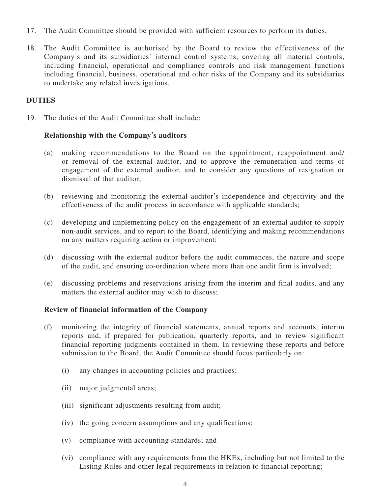- 17. The Audit Committee should be provided with sufficient resources to perform its duties.
- 18. The Audit Committee is authorised by the Board to review the effectiveness of the Company's and its subsidiaries' internal control systems, covering all material controls, including financial, operational and compliance controls and risk management functions including financial, business, operational and other risks of the Company and its subsidiaries to undertake any related investigations.

# **DUTIES**

19. The duties of the Audit Committee shall include:

# **Relationship with the Company's auditors**

- (a) making recommendations to the Board on the appointment, reappointment and/ or removal of the external auditor, and to approve the remuneration and terms of engagement of the external auditor, and to consider any questions of resignation or dismissal of that auditor;
- (b) reviewing and monitoring the external auditor's independence and objectivity and the effectiveness of the audit process in accordance with applicable standards;
- (c) developing and implementing policy on the engagement of an external auditor to supply non-audit services, and to report to the Board, identifying and making recommendations on any matters requiring action or improvement;
- (d) discussing with the external auditor before the audit commences, the nature and scope of the audit, and ensuring co-ordination where more than one audit firm is involved;
- (e) discussing problems and reservations arising from the interim and final audits, and any matters the external auditor may wish to discuss;

#### **Review of financial information of the Company**

- (f) monitoring the integrity of financial statements, annual reports and accounts, interim reports and, if prepared for publication, quarterly reports, and to review significant financial reporting judgments contained in them. In reviewing these reports and before submission to the Board, the Audit Committee should focus particularly on:
	- (i) any changes in accounting policies and practices;
	- (ii) major judgmental areas;
	- (iii) significant adjustments resulting from audit;
	- (iv) the going concern assumptions and any qualifications;
	- (v) compliance with accounting standards; and
	- (vi) compliance with any requirements from the HKEx, including but not limited to the Listing Rules and other legal requirements in relation to financial reporting;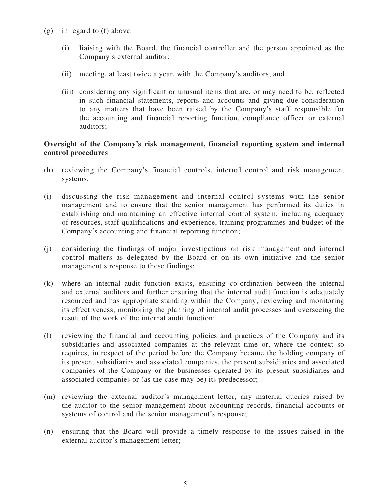- (g) in regard to (f) above:
	- (i) liaising with the Board, the financial controller and the person appointed as the Company's external auditor;
	- (ii) meeting, at least twice a year, with the Company's auditors; and
	- (iii) considering any significant or unusual items that are, or may need to be, reflected in such financial statements, reports and accounts and giving due consideration to any matters that have been raised by the Company's staff responsible for the accounting and financial reporting function, compliance officer or external auditors;

## **Oversight of the Company's risk management, financial reporting system and internal control procedures**

- (h) reviewing the Company's financial controls, internal control and risk management systems;
- (i) discussing the risk management and internal control systems with the senior management and to ensure that the senior management has performed its duties in establishing and maintaining an effective internal control system, including adequacy of resources, staff qualifications and experience, training programmes and budget of the Company's accounting and financial reporting function;
- (j) considering the findings of major investigations on risk management and internal control matters as delegated by the Board or on its own initiative and the senior management's response to those findings;
- (k) where an internal audit function exists, ensuring co-ordination between the internal and external auditors and further ensuring that the internal audit function is adequately resourced and has appropriate standing within the Company, reviewing and monitoring its effectiveness, monitoring the planning of internal audit processes and overseeing the result of the work of the internal audit function;
- (l) reviewing the financial and accounting policies and practices of the Company and its subsidiaries and associated companies at the relevant time or, where the context so requires, in respect of the period before the Company became the holding company of its present subsidiaries and associated companies, the present subsidiaries and associated companies of the Company or the businesses operated by its present subsidiaries and associated companies or (as the case may be) its predecessor;
- (m) reviewing the external auditor's management letter, any material queries raised by the auditor to the senior management about accounting records, financial accounts or systems of control and the senior management's response;
- (n) ensuring that the Board will provide a timely response to the issues raised in the external auditor's management letter;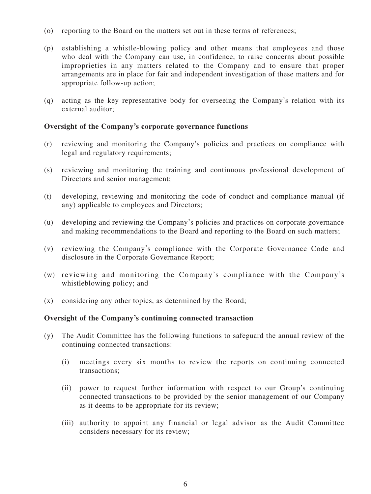- (o) reporting to the Board on the matters set out in these terms of references;
- (p) establishing a whistle-blowing policy and other means that employees and those who deal with the Company can use, in confidence, to raise concerns about possible improprieties in any matters related to the Company and to ensure that proper arrangements are in place for fair and independent investigation of these matters and for appropriate follow-up action;
- (q) acting as the key representative body for overseeing the Company's relation with its external auditor;

### **Oversight of the Company's corporate governance functions**

- (r) reviewing and monitoring the Company's policies and practices on compliance with legal and regulatory requirements;
- (s) reviewing and monitoring the training and continuous professional development of Directors and senior management;
- (t) developing, reviewing and monitoring the code of conduct and compliance manual (if any) applicable to employees and Directors;
- (u) developing and reviewing the Company's policies and practices on corporate governance and making recommendations to the Board and reporting to the Board on such matters;
- (v) reviewing the Company's compliance with the Corporate Governance Code and disclosure in the Corporate Governance Report;
- (w) reviewing and monitoring the Company's compliance with the Company's whistleblowing policy; and
- (x) considering any other topics, as determined by the Board;

#### **Oversight of the Company's continuing connected transaction**

- (y) The Audit Committee has the following functions to safeguard the annual review of the continuing connected transactions:
	- (i) meetings every six months to review the reports on continuing connected transactions;
	- (ii) power to request further information with respect to our Group's continuing connected transactions to be provided by the senior management of our Company as it deems to be appropriate for its review;
	- (iii) authority to appoint any financial or legal advisor as the Audit Committee considers necessary for its review;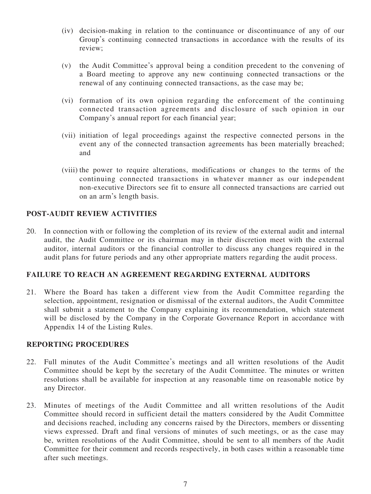- (iv) decision-making in relation to the continuance or discontinuance of any of our Group's continuing connected transactions in accordance with the results of its review;
- (v) the Audit Committee's approval being a condition precedent to the convening of a Board meeting to approve any new continuing connected transactions or the renewal of any continuing connected transactions, as the case may be;
- (vi) formation of its own opinion regarding the enforcement of the continuing connected transaction agreements and disclosure of such opinion in our Company's annual report for each financial year;
- (vii) initiation of legal proceedings against the respective connected persons in the event any of the connected transaction agreements has been materially breached; and
- (viii) the power to require alterations, modifications or changes to the terms of the continuing connected transactions in whatever manner as our independent non-executive Directors see fit to ensure all connected transactions are carried out on an arm's length basis.

### **POST-AUDIT REVIEW ACTIVITIES**

20. In connection with or following the completion of its review of the external audit and internal audit, the Audit Committee or its chairman may in their discretion meet with the external auditor, internal auditors or the financial controller to discuss any changes required in the audit plans for future periods and any other appropriate matters regarding the audit process.

# **FAILURE TO REACH AN AGREEMENT REGARDING EXTERNAL AUDITORS**

21. Where the Board has taken a different view from the Audit Committee regarding the selection, appointment, resignation or dismissal of the external auditors, the Audit Committee shall submit a statement to the Company explaining its recommendation, which statement will be disclosed by the Company in the Corporate Governance Report in accordance with Appendix 14 of the Listing Rules.

#### **REPORTING PROCEDURES**

- 22. Full minutes of the Audit Committee's meetings and all written resolutions of the Audit Committee should be kept by the secretary of the Audit Committee. The minutes or written resolutions shall be available for inspection at any reasonable time on reasonable notice by any Director.
- 23. Minutes of meetings of the Audit Committee and all written resolutions of the Audit Committee should record in sufficient detail the matters considered by the Audit Committee and decisions reached, including any concerns raised by the Directors, members or dissenting views expressed. Draft and final versions of minutes of such meetings, or as the case may be, written resolutions of the Audit Committee, should be sent to all members of the Audit Committee for their comment and records respectively, in both cases within a reasonable time after such meetings.